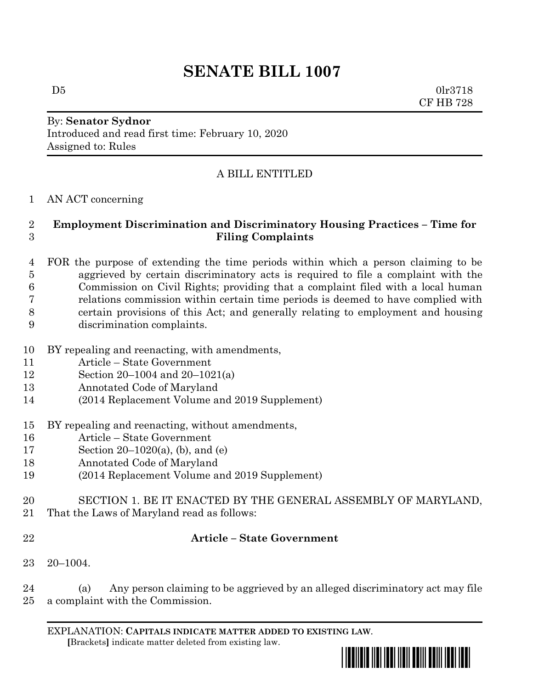# **SENATE BILL 1007**

 $D5$  0lr3718 CF HB 728

## By: **Senator Sydnor** Introduced and read first time: February 10, 2020 Assigned to: Rules

# A BILL ENTITLED

#### AN ACT concerning

#### **Employment Discrimination and Discriminatory Housing Practices – Time for Filing Complaints**

- FOR the purpose of extending the time periods within which a person claiming to be aggrieved by certain discriminatory acts is required to file a complaint with the Commission on Civil Rights; providing that a complaint filed with a local human relations commission within certain time periods is deemed to have complied with certain provisions of this Act; and generally relating to employment and housing discrimination complaints.
- BY repealing and reenacting, with amendments,
- Article State Government
- Section 20–1004 and 20–1021(a)
- Annotated Code of Maryland
- (2014 Replacement Volume and 2019 Supplement)
- BY repealing and reenacting, without amendments,
- Article State Government
- Section 20–1020(a), (b), and (e)
- Annotated Code of Maryland
- (2014 Replacement Volume and 2019 Supplement)
- SECTION 1. BE IT ENACTED BY THE GENERAL ASSEMBLY OF MARYLAND,
- That the Laws of Maryland read as follows:
- 

### **Article – State Government**

20–1004.

 (a) Any person claiming to be aggrieved by an alleged discriminatory act may file a complaint with the Commission.

EXPLANATION: **CAPITALS INDICATE MATTER ADDED TO EXISTING LAW**.  **[**Brackets**]** indicate matter deleted from existing law.

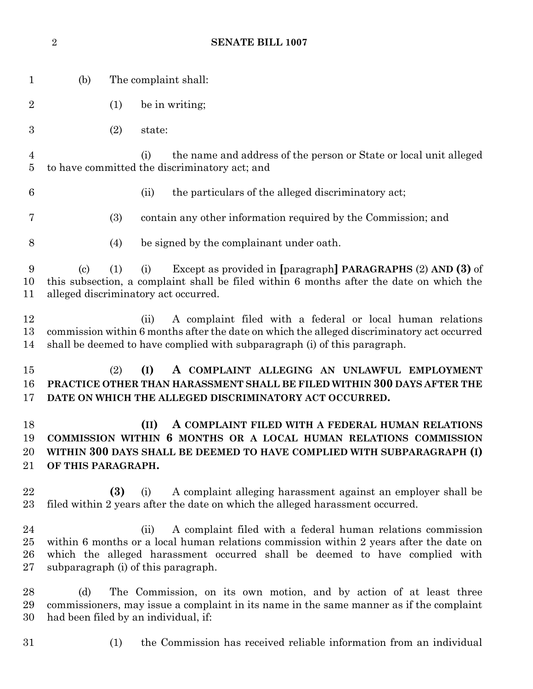|                                  | $\sqrt{2}$                                                                                                                                                                                                   |                      | <b>SENATE BILL 1007</b>                                                                                                                                                                                                                                                             |  |
|----------------------------------|--------------------------------------------------------------------------------------------------------------------------------------------------------------------------------------------------------------|----------------------|-------------------------------------------------------------------------------------------------------------------------------------------------------------------------------------------------------------------------------------------------------------------------------------|--|
| $\mathbf 1$                      | (b)                                                                                                                                                                                                          | The complaint shall: |                                                                                                                                                                                                                                                                                     |  |
| $\overline{2}$                   |                                                                                                                                                                                                              | (1)                  | be in writing;                                                                                                                                                                                                                                                                      |  |
| $\boldsymbol{3}$                 |                                                                                                                                                                                                              | (2)                  | state:                                                                                                                                                                                                                                                                              |  |
| $\overline{4}$<br>$\overline{5}$ | the name and address of the person or State or local unit alleged<br>(i)<br>to have committed the discriminatory act; and                                                                                    |                      |                                                                                                                                                                                                                                                                                     |  |
| 6                                |                                                                                                                                                                                                              |                      | (ii)<br>the particulars of the alleged discriminatory act;                                                                                                                                                                                                                          |  |
| 7                                |                                                                                                                                                                                                              | (3)                  | contain any other information required by the Commission; and                                                                                                                                                                                                                       |  |
| $8\,$                            |                                                                                                                                                                                                              | (4)                  | be signed by the complainant under oath.                                                                                                                                                                                                                                            |  |
| 9<br>10<br>11                    | $\left( \text{c} \right)$                                                                                                                                                                                    | (1)                  | Except as provided in [paragraph] PARAGRAPHS (2) AND (3) of<br>(i)<br>this subsection, a complaint shall be filed within 6 months after the date on which the<br>alleged discriminatory act occurred.                                                                               |  |
| 12<br>13<br>14                   |                                                                                                                                                                                                              |                      | A complaint filed with a federal or local human relations<br>(ii)<br>commission within 6 months after the date on which the alleged discriminatory act occurred<br>shall be deemed to have complied with subparagraph (i) of this paragraph.                                        |  |
| 15<br>16<br>17                   |                                                                                                                                                                                                              | (2)                  | (I)<br>A COMPLAINT ALLEGING AN UNLAWFUL EMPLOYMENT<br>PRACTICE OTHER THAN HARASSMENT SHALL BE FILED WITHIN 300 DAYS AFTER THE<br>DATE ON WHICH THE ALLEGED DISCRIMINATORY ACT OCCURRED.                                                                                             |  |
| 18<br>19<br>20<br>21             | OF THIS PARAGRAPH.                                                                                                                                                                                           |                      | (II) A COMPLAINT FILED WITH A FEDERAL HUMAN RELATIONS<br>COMMISSION WITHIN 6 MONTHS OR A LOCAL HUMAN RELATIONS COMMISSION<br>WITHIN 300 DAYS SHALL BE DEEMED TO HAVE COMPLIED WITH SUBPARAGRAPH (I)                                                                                 |  |
| 22<br>$^{23}$                    |                                                                                                                                                                                                              | (3)                  | A complaint alleging harassment against an employer shall be<br>(i)<br>filed within 2 years after the date on which the alleged harassment occurred.                                                                                                                                |  |
| 24<br>$25\,$<br>26<br>27         |                                                                                                                                                                                                              |                      | A complaint filed with a federal human relations commission<br>(ii)<br>within 6 months or a local human relations commission within 2 years after the date on<br>which the alleged harassment occurred shall be deemed to have complied with<br>subparagraph (i) of this paragraph. |  |
| 28<br>29<br>30                   | (d)<br>The Commission, on its own motion, and by action of at least three<br>commissioners, may issue a complaint in its name in the same manner as if the complaint<br>had been filed by an individual, if: |                      |                                                                                                                                                                                                                                                                                     |  |
| 31                               |                                                                                                                                                                                                              | (1)                  | the Commission has received reliable information from an individual                                                                                                                                                                                                                 |  |